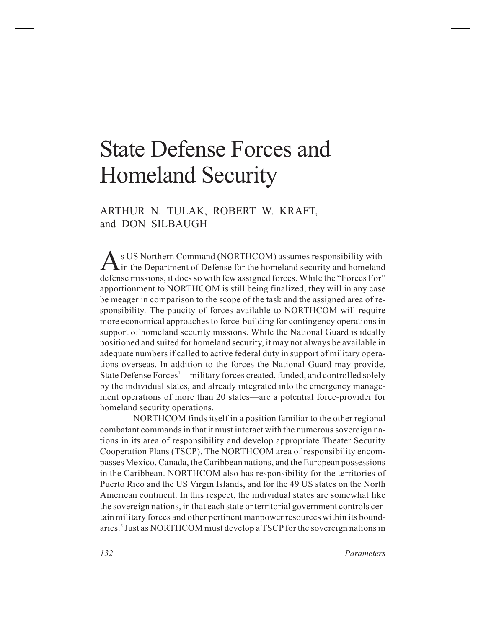# State Defense Forces and Homeland Security

ARTHUR N. TULAK, ROBERT W. KRAFT, and DON SILBAUGH

*A*s US Northern Command (NORTHCOM) assumes responsibility with- $\sum$  in the Department of Defense for the homeland security and homeland defense missions, it does so with few assigned forces. While the "Forces For" apportionment to NORTHCOM is still being finalized, they will in any case be meager in comparison to the scope of the task and the assigned area of responsibility. The paucity of forces available to NORTHCOM will require more economical approaches to force-building for contingency operations in support of homeland security missions. While the National Guard is ideally positioned and suited for homeland security, it may not always be available in adequate numbers if called to active federal duty in support of military operations overseas. In addition to the forces the National Guard may provide, State Defense Forces<sup>1</sup>—military forces created, funded, and controlled solely by the individual states, and already integrated into the emergency management operations of more than 20 states—are a potential force-provider for homeland security operations.

NORTHCOM finds itself in a position familiar to the other regional combatant commands in that it must interact with the numerous sovereign nations in its area of responsibility and develop appropriate Theater Security Cooperation Plans (TSCP). The NORTHCOM area of responsibility encompasses Mexico, Canada, the Caribbean nations, and the European possessions in the Caribbean. NORTHCOM also has responsibility for the territories of Puerto Rico and the US Virgin Islands, and for the 49 US states on the North American continent. In this respect, the individual states are somewhat like the sovereign nations, in that each state or territorial government controls certain military forces and other pertinent manpower resources within its boundaries.2 Just as NORTHCOM must develop a TSCP for the sovereign nations in

*132 Parameters*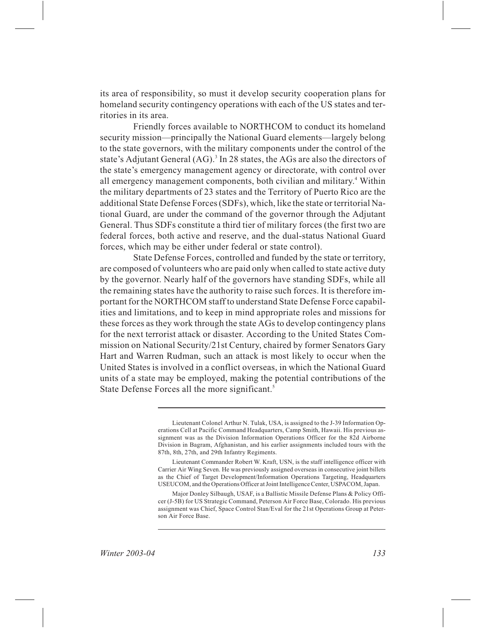its area of responsibility, so must it develop security cooperation plans for homeland security contingency operations with each of the US states and territories in its area.

Friendly forces available to NORTHCOM to conduct its homeland security mission—principally the National Guard elements—largely belong to the state governors, with the military components under the control of the state's Adjutant General  $(AG)$ .<sup>3</sup> In 28 states, the AGs are also the directors of the state's emergency management agency or directorate, with control over all emergency management components, both civilian and military.<sup>4</sup> Within the military departments of 23 states and the Territory of Puerto Rico are the additional State Defense Forces (SDFs), which, like the state or territorial National Guard, are under the command of the governor through the Adjutant General. Thus SDFs constitute a third tier of military forces (the first two are federal forces, both active and reserve, and the dual-status National Guard forces, which may be either under federal or state control).

State Defense Forces, controlled and funded by the state or territory, are composed of volunteers who are paid only when called to state active duty by the governor. Nearly half of the governors have standing SDFs, while all the remaining states have the authority to raise such forces. It is therefore important for the NORTHCOM staff to understand State Defense Force capabilities and limitations, and to keep in mind appropriate roles and missions for these forces as they work through the state AGs to develop contingency plans for the next terrorist attack or disaster. According to the United States Commission on National Security/21st Century, chaired by former Senators Gary Hart and Warren Rudman, such an attack is most likely to occur when the United States is involved in a conflict overseas, in which the National Guard units of a state may be employed, making the potential contributions of the State Defense Forces all the more significant.<sup>5</sup>

Lieutenant Colonel Arthur N. Tulak, USA, is assigned to the J-39 Information Operations Cell at Pacific Command Headquarters, Camp Smith, Hawaii. His previous assignment was as the Division Information Operations Officer for the 82d Airborne Division in Bagram, Afghanistan, and his earlier assignments included tours with the 87th, 8th, 27th, and 29th Infantry Regiments.

Lieutenant Commander Robert W. Kraft, USN, is the staff intelligence officer with Carrier Air Wing Seven. He was previously assigned overseas in consecutive joint billets as the Chief of Target Development/Information Operations Targeting, Headquarters USEUCOM, and the Operations Officer at Joint Intelligence Center, USPACOM, Japan.

Major Donley Silbaugh, USAF, is a Ballistic Missile Defense Plans & Policy Officer (J-5B) for US Strategic Command, Peterson Air Force Base, Colorado. His previous assignment was Chief, Space Control Stan/Eval for the 21st Operations Group at Peterson Air Force Base.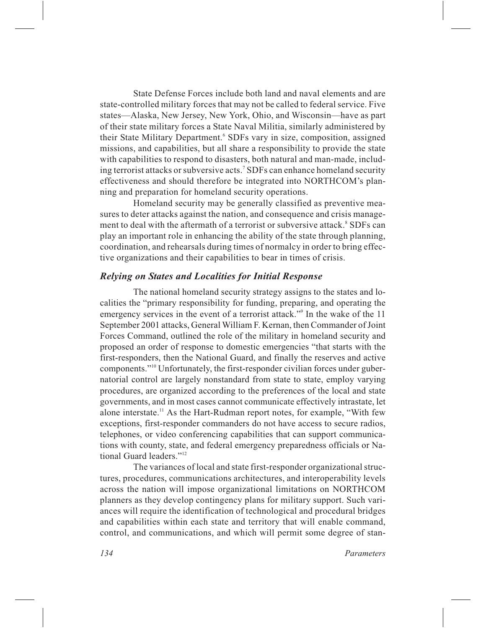State Defense Forces include both land and naval elements and are state-controlled military forces that may not be called to federal service. Five states—Alaska, New Jersey, New York, Ohio, and Wisconsin—have as part of their state military forces a State Naval Militia, similarly administered by their State Military Department.<sup>6</sup> SDFs vary in size, composition, assigned missions, and capabilities, but all share a responsibility to provide the state with capabilities to respond to disasters, both natural and man-made, including terrorist attacks or subversive acts.<sup>7</sup> SDFs can enhance homeland security effectiveness and should therefore be integrated into NORTHCOM's planning and preparation for homeland security operations.

Homeland security may be generally classified as preventive measures to deter attacks against the nation, and consequence and crisis management to deal with the aftermath of a terrorist or subversive attack.<sup>8</sup> SDFs can play an important role in enhancing the ability of the state through planning, coordination, and rehearsals during times of normalcy in order to bring effective organizations and their capabilities to bear in times of crisis.

### *Relying on States and Localities for Initial Response*

The national homeland security strategy assigns to the states and localities the "primary responsibility for funding, preparing, and operating the emergency services in the event of a terrorist attack."<sup>9</sup> In the wake of the 11 September 2001 attacks, General William F. Kernan, then Commander of Joint Forces Command, outlined the role of the military in homeland security and proposed an order of response to domestic emergencies "that starts with the first-responders, then the National Guard, and finally the reserves and active components."10 Unfortunately, the first-responder civilian forces under gubernatorial control are largely nonstandard from state to state, employ varying procedures, are organized according to the preferences of the local and state governments, and in most cases cannot communicate effectively intrastate, let alone interstate.<sup>11</sup> As the Hart-Rudman report notes, for example, "With few exceptions, first-responder commanders do not have access to secure radios, telephones, or video conferencing capabilities that can support communications with county, state, and federal emergency preparedness officials or National Guard leaders."<sup>12</sup>

The variances of local and state first-responder organizational structures, procedures, communications architectures, and interoperability levels across the nation will impose organizational limitations on NORTHCOM planners as they develop contingency plans for military support. Such variances will require the identification of technological and procedural bridges and capabilities within each state and territory that will enable command, control, and communications, and which will permit some degree of stan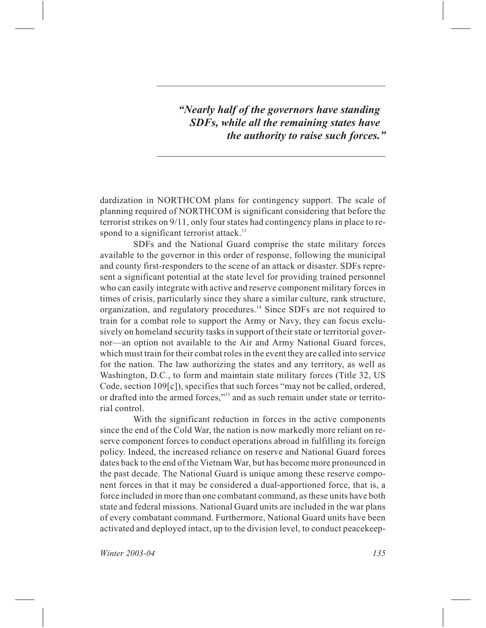*"Nearly half of the governors have standing SDFs, while all the remaining states have the authority to raise such forces."*

dardization in NORTHCOM plans for contingency support. The scale of planning required of NORTHCOM is significant considering that before the terrorist strikes on 9/11, only four states had contingency plans in place to respond to a significant terrorist attack.<sup>13</sup>

SDFs and the National Guard comprise the state military forces available to the governor in this order of response, following the municipal and county first-responders to the scene of an attack or disaster. SDFs represent a significant potential at the state level for providing trained personnel who can easily integrate with active and reserve component military forces in times of crisis, particularly since they share a similar culture, rank structure, organization, and regulatory procedures.<sup>14</sup> Since SDFs are not required to train for a combat role to support the Army or Navy, they can focus exclusively on homeland security tasks in support of their state or territorial governor—an option not available to the Air and Army National Guard forces, which must train for their combat roles in the event they are called into service for the nation. The law authorizing the states and any territory, as well as Washington, D.C., to form and maintain state military forces (Title 32, US Code, section 109[c]), specifies that such forces "may not be called, ordered, or drafted into the armed forces,"15 and as such remain under state or territorial control.

With the significant reduction in forces in the active components since the end of the Cold War, the nation is now markedly more reliant on reserve component forces to conduct operations abroad in fulfilling its foreign policy. Indeed, the increased reliance on reserve and National Guard forces dates back to the end of the Vietnam War, but has become more pronounced in the past decade. The National Guard is unique among these reserve component forces in that it may be considered a dual-apportioned force, that is, a force included in more than one combatant command, as these units have both state and federal missions. National Guard units are included in the war plans of every combatant command. Furthermore, National Guard units have been activated and deployed intact, up to the division level, to conduct peacekeep-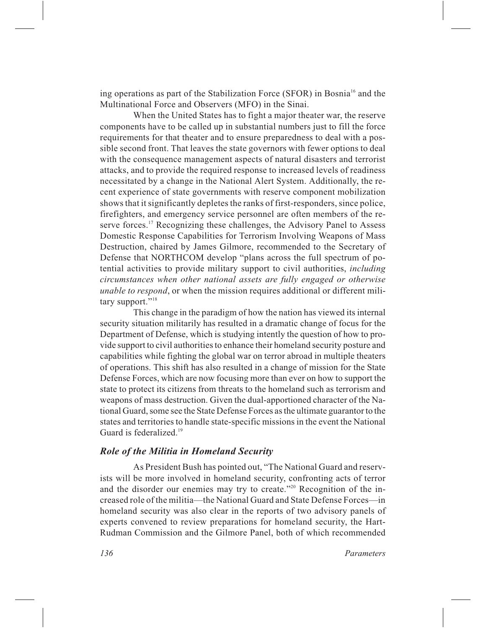ing operations as part of the Stabilization Force (SFOR) in Bosnia<sup>16</sup> and the Multinational Force and Observers (MFO) in the Sinai.

When the United States has to fight a major theater war, the reserve components have to be called up in substantial numbers just to fill the force requirements for that theater and to ensure preparedness to deal with a possible second front. That leaves the state governors with fewer options to deal with the consequence management aspects of natural disasters and terrorist attacks, and to provide the required response to increased levels of readiness necessitated by a change in the National Alert System. Additionally, the recent experience of state governments with reserve component mobilization shows that it significantly depletes the ranks of first-responders, since police, firefighters, and emergency service personnel are often members of the reserve forces.<sup>17</sup> Recognizing these challenges, the Advisory Panel to Assess Domestic Response Capabilities for Terrorism Involving Weapons of Mass Destruction, chaired by James Gilmore, recommended to the Secretary of Defense that NORTHCOM develop "plans across the full spectrum of potential activities to provide military support to civil authorities, *including circumstances when other national assets are fully engaged or otherwise unable to respond*, or when the mission requires additional or different military support."<sup>18</sup>

This change in the paradigm of how the nation has viewed its internal security situation militarily has resulted in a dramatic change of focus for the Department of Defense, which is studying intently the question of how to provide support to civil authorities to enhance their homeland security posture and capabilities while fighting the global war on terror abroad in multiple theaters of operations. This shift has also resulted in a change of mission for the State Defense Forces, which are now focusing more than ever on how to support the state to protect its citizens from threats to the homeland such as terrorism and weapons of mass destruction. Given the dual-apportioned character of the National Guard, some see the State Defense Forces as the ultimate guarantor to the states and territories to handle state-specific missions in the event the National Guard is federalized.<sup>19</sup>

# *Role of the Militia in Homeland Security*

As President Bush has pointed out, "The National Guard and reservists will be more involved in homeland security, confronting acts of terror and the disorder our enemies may try to create."<sup>20</sup> Recognition of the increased role of the militia—the National Guard and State Defense Forces—in homeland security was also clear in the reports of two advisory panels of experts convened to review preparations for homeland security, the Hart-Rudman Commission and the Gilmore Panel, both of which recommended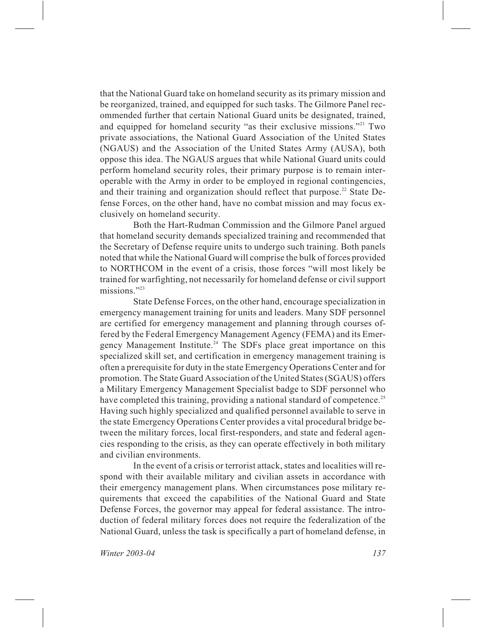that the National Guard take on homeland security as its primary mission and be reorganized, trained, and equipped for such tasks. The Gilmore Panel recommended further that certain National Guard units be designated, trained, and equipped for homeland security "as their exclusive missions."<sup>21</sup> Two private associations, the National Guard Association of the United States (NGAUS) and the Association of the United States Army (AUSA), both oppose this idea. The NGAUS argues that while National Guard units could perform homeland security roles, their primary purpose is to remain interoperable with the Army in order to be employed in regional contingencies, and their training and organization should reflect that purpose.<sup>22</sup> State Defense Forces, on the other hand, have no combat mission and may focus exclusively on homeland security.

Both the Hart-Rudman Commission and the Gilmore Panel argued that homeland security demands specialized training and recommended that the Secretary of Defense require units to undergo such training. Both panels noted that while the National Guard will comprise the bulk of forces provided to NORTHCOM in the event of a crisis, those forces "will most likely be trained for warfighting, not necessarily for homeland defense or civil support missions."23

State Defense Forces, on the other hand, encourage specialization in emergency management training for units and leaders. Many SDF personnel are certified for emergency management and planning through courses offered by the Federal Emergency Management Agency (FEMA) and its Emergency Management Institute.<sup>24</sup> The SDFs place great importance on this specialized skill set, and certification in emergency management training is often a prerequisite for duty in the state Emergency Operations Center and for promotion. The State Guard Association of the United States (SGAUS) offers a Military Emergency Management Specialist badge to SDF personnel who have completed this training, providing a national standard of competence.<sup>25</sup> Having such highly specialized and qualified personnel available to serve in the state Emergency Operations Center provides a vital procedural bridge between the military forces, local first-responders, and state and federal agencies responding to the crisis, as they can operate effectively in both military and civilian environments.

In the event of a crisis or terrorist attack, states and localities will respond with their available military and civilian assets in accordance with their emergency management plans. When circumstances pose military requirements that exceed the capabilities of the National Guard and State Defense Forces, the governor may appeal for federal assistance. The introduction of federal military forces does not require the federalization of the National Guard, unless the task is specifically a part of homeland defense, in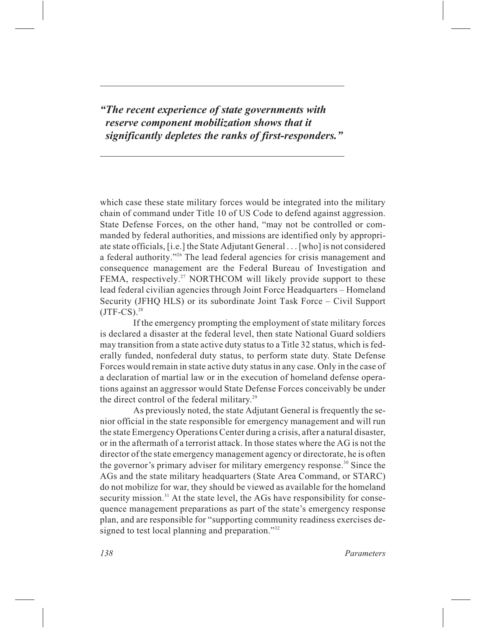*"The recent experience of state governments with reserve component mobilization shows that it significantly depletes the ranks of first-responders."*

which case these state military forces would be integrated into the military chain of command under Title 10 of US Code to defend against aggression. State Defense Forces, on the other hand, "may not be controlled or commanded by federal authorities, and missions are identified only by appropriate state officials, [i.e.] the State Adjutant General... [who] is not considered a federal authority."<sup>26</sup> The lead federal agencies for crisis management and consequence management are the Federal Bureau of Investigation and FEMA, respectively.<sup>27</sup> NORTHCOM will likely provide support to these lead federal civilian agencies through Joint Force Headquarters – Homeland Security (JFHQ HLS) or its subordinate Joint Task Force – Civil Support  $(JTF-CS).<sup>28</sup>$ 

If the emergency prompting the employment of state military forces is declared a disaster at the federal level, then state National Guard soldiers may transition from a state active duty status to a Title 32 status, which is federally funded, nonfederal duty status, to perform state duty. State Defense Forces would remain in state active duty status in any case. Only in the case of a declaration of martial law or in the execution of homeland defense operations against an aggressor would State Defense Forces conceivably be under the direct control of the federal military.<sup>29</sup>

As previously noted, the state Adjutant General is frequently the senior official in the state responsible for emergency management and will run the state Emergency Operations Center during a crisis, after a natural disaster, or in the aftermath of a terrorist attack. In those states where the AG is not the director of the state emergency management agency or directorate, he is often the governor's primary adviser for military emergency response.<sup>30</sup> Since the AGs and the state military headquarters (State Area Command, or STARC) do not mobilize for war, they should be viewed as available for the homeland security mission.<sup>31</sup> At the state level, the AGs have responsibility for consequence management preparations as part of the state's emergency response plan, and are responsible for "supporting community readiness exercises designed to test local planning and preparation."<sup>32</sup>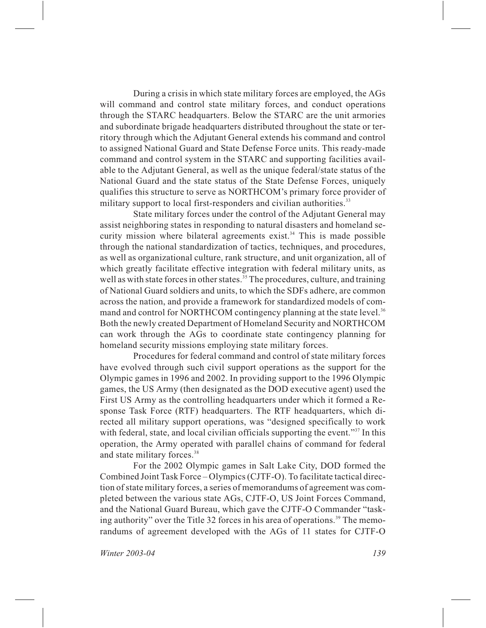During a crisis in which state military forces are employed, the AGs will command and control state military forces, and conduct operations through the STARC headquarters. Below the STARC are the unit armories and subordinate brigade headquarters distributed throughout the state or territory through which the Adjutant General extends his command and control to assigned National Guard and State Defense Force units. This ready-made command and control system in the STARC and supporting facilities available to the Adjutant General, as well as the unique federal/state status of the National Guard and the state status of the State Defense Forces, uniquely qualifies this structure to serve as NORTHCOM's primary force provider of military support to local first-responders and civilian authorities.<sup>33</sup>

State military forces under the control of the Adjutant General may assist neighboring states in responding to natural disasters and homeland security mission where bilateral agreements exist.<sup>34</sup> This is made possible through the national standardization of tactics, techniques, and procedures, as well as organizational culture, rank structure, and unit organization, all of which greatly facilitate effective integration with federal military units, as well as with state forces in other states.<sup>35</sup> The procedures, culture, and training of National Guard soldiers and units, to which the SDFs adhere, are common across the nation, and provide a framework for standardized models of command and control for NORTHCOM contingency planning at the state level.<sup>36</sup> Both the newly created Department of Homeland Security and NORTHCOM can work through the AGs to coordinate state contingency planning for homeland security missions employing state military forces.

Procedures for federal command and control of state military forces have evolved through such civil support operations as the support for the Olympic games in 1996 and 2002. In providing support to the 1996 Olympic games, the US Army (then designated as the DOD executive agent) used the First US Army as the controlling headquarters under which it formed a Response Task Force (RTF) headquarters. The RTF headquarters, which directed all military support operations, was "designed specifically to work with federal, state, and local civilian officials supporting the event."<sup>37</sup> In this operation, the Army operated with parallel chains of command for federal and state military forces.<sup>38</sup>

For the 2002 Olympic games in Salt Lake City, DOD formed the Combined Joint Task Force – Olympics (CJTF-O). To facilitate tactical direction of state military forces, a series of memorandums of agreement was completed between the various state AGs, CJTF-O, US Joint Forces Command, and the National Guard Bureau, which gave the CJTF-O Commander "tasking authority" over the Title 32 forces in his area of operations.<sup>39</sup> The memorandums of agreement developed with the AGs of 11 states for CJTF-O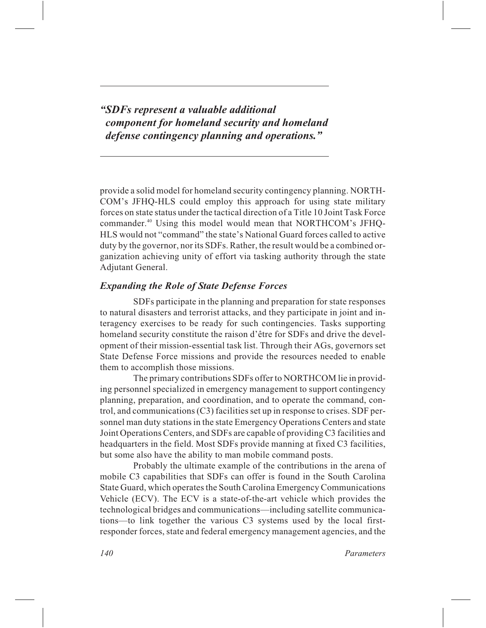*"SDFs represent a valuable additional component for homeland security and homeland defense contingency planning and operations."*

provide a solid model for homeland security contingency planning. NORTH-COM's JFHQ-HLS could employ this approach for using state military forces on state status under the tactical direction of a Title 10 Joint Task Force commander.40 Using this model would mean that NORTHCOM's JFHQ-HLS would not "command" the state's National Guard forces called to active duty by the governor, nor its SDFs. Rather, the result would be a combined organization achieving unity of effort via tasking authority through the state Adjutant General.

# *Expanding the Role of State Defense Forces*

SDFs participate in the planning and preparation for state responses to natural disasters and terrorist attacks, and they participate in joint and interagency exercises to be ready for such contingencies. Tasks supporting homeland security constitute the raison d'être for SDFs and drive the development of their mission-essential task list. Through their AGs, governors set State Defense Force missions and provide the resources needed to enable them to accomplish those missions.

The primary contributions SDFs offer to NORTHCOM lie in providing personnel specialized in emergency management to support contingency planning, preparation, and coordination, and to operate the command, control, and communications (C3) facilities set up in response to crises. SDF personnel man duty stations in the state Emergency Operations Centers and state Joint Operations Centers, and SDFs are capable of providing C3 facilities and headquarters in the field. Most SDFs provide manning at fixed C3 facilities, but some also have the ability to man mobile command posts.

Probably the ultimate example of the contributions in the arena of mobile C3 capabilities that SDFs can offer is found in the South Carolina State Guard, which operates the South Carolina Emergency Communications Vehicle (ECV). The ECV is a state-of-the-art vehicle which provides the technological bridges and communications—including satellite communications—to link together the various C3 systems used by the local firstresponder forces, state and federal emergency management agencies, and the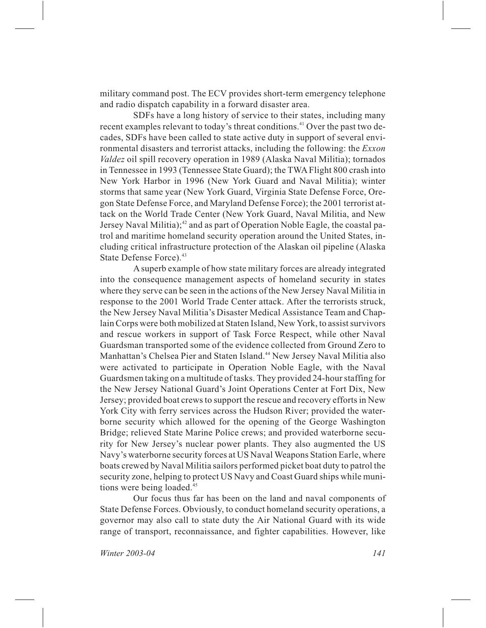military command post. The ECV provides short-term emergency telephone and radio dispatch capability in a forward disaster area.

SDFs have a long history of service to their states, including many recent examples relevant to today's threat conditions.<sup>41</sup> Over the past two decades, SDFs have been called to state active duty in support of several environmental disasters and terrorist attacks, including the following: the *Exxon Valdez* oil spill recovery operation in 1989 (Alaska Naval Militia); tornados in Tennessee in 1993 (Tennessee State Guard); the TWA Flight 800 crash into New York Harbor in 1996 (New York Guard and Naval Militia); winter storms that same year (New York Guard, Virginia State Defense Force, Oregon State Defense Force, and Maryland Defense Force); the 2001 terrorist attack on the World Trade Center (New York Guard, Naval Militia, and New Jersey Naval Militia); $42$  and as part of Operation Noble Eagle, the coastal patrol and maritime homeland security operation around the United States, including critical infrastructure protection of the Alaskan oil pipeline (Alaska State Defense Force).<sup>43</sup>

A superb example of how state military forces are already integrated into the consequence management aspects of homeland security in states where they serve can be seen in the actions of the New Jersey Naval Militia in response to the 2001 World Trade Center attack. After the terrorists struck, the New Jersey Naval Militia's Disaster Medical Assistance Team and Chaplain Corps were both mobilized at Staten Island, New York, to assist survivors and rescue workers in support of Task Force Respect, while other Naval Guardsman transported some of the evidence collected from Ground Zero to Manhattan's Chelsea Pier and Staten Island.<sup>44</sup> New Jersey Naval Militia also were activated to participate in Operation Noble Eagle, with the Naval Guardsmen taking on a multitude of tasks. They provided 24-hour staffing for the New Jersey National Guard's Joint Operations Center at Fort Dix, New Jersey; provided boat crews to support the rescue and recovery efforts in New York City with ferry services across the Hudson River; provided the waterborne security which allowed for the opening of the George Washington Bridge; relieved State Marine Police crews; and provided waterborne security for New Jersey's nuclear power plants. They also augmented the US Navy's waterborne security forces at US Naval Weapons Station Earle, where boats crewed by Naval Militia sailors performed picket boat duty to patrol the security zone, helping to protect US Navy and Coast Guard ships while munitions were being loaded.<sup>45</sup>

Our focus thus far has been on the land and naval components of State Defense Forces. Obviously, to conduct homeland security operations, a governor may also call to state duty the Air National Guard with its wide range of transport, reconnaissance, and fighter capabilities. However, like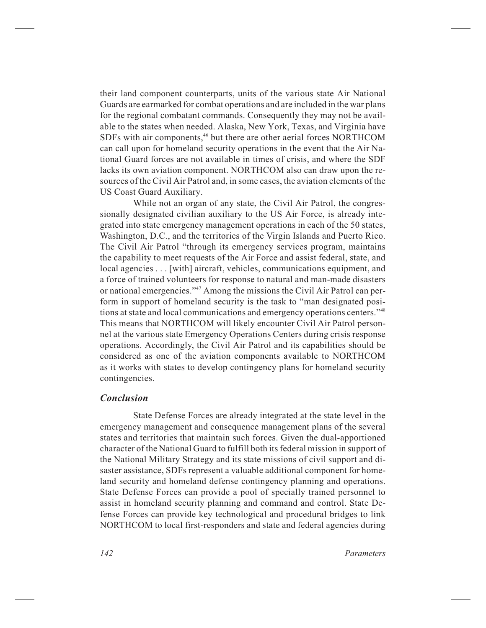their land component counterparts, units of the various state Air National Guards are earmarked for combat operations and are included in the war plans for the regional combatant commands. Consequently they may not be available to the states when needed. Alaska, New York, Texas, and Virginia have SDFs with air components,<sup>46</sup> but there are other aerial forces NORTHCOM can call upon for homeland security operations in the event that the Air National Guard forces are not available in times of crisis, and where the SDF lacks its own aviation component. NORTHCOM also can draw upon the resources of the Civil Air Patrol and, in some cases, the aviation elements of the US Coast Guard Auxiliary.

While not an organ of any state, the Civil Air Patrol, the congressionally designated civilian auxiliary to the US Air Force, is already integrated into state emergency management operations in each of the 50 states, Washington, D.C., and the territories of the Virgin Islands and Puerto Rico. The Civil Air Patrol "through its emergency services program, maintains the capability to meet requests of the Air Force and assist federal, state, and local agencies... [with] aircraft, vehicles, communications equipment, and a force of trained volunteers for response to natural and man-made disasters or national emergencies."47 Among the missions the Civil Air Patrol can perform in support of homeland security is the task to "man designated positions at state and local communications and emergency operations centers."48 This means that NORTHCOM will likely encounter Civil Air Patrol personnel at the various state Emergency Operations Centers during crisis response operations. Accordingly, the Civil Air Patrol and its capabilities should be considered as one of the aviation components available to NORTHCOM as it works with states to develop contingency plans for homeland security contingencies.

## *Conclusion*

State Defense Forces are already integrated at the state level in the emergency management and consequence management plans of the several states and territories that maintain such forces. Given the dual-apportioned character of the National Guard to fulfill both its federal mission in support of the National Military Strategy and its state missions of civil support and disaster assistance, SDFs represent a valuable additional component for homeland security and homeland defense contingency planning and operations. State Defense Forces can provide a pool of specially trained personnel to assist in homeland security planning and command and control. State Defense Forces can provide key technological and procedural bridges to link NORTHCOM to local first-responders and state and federal agencies during

*142 Parameters*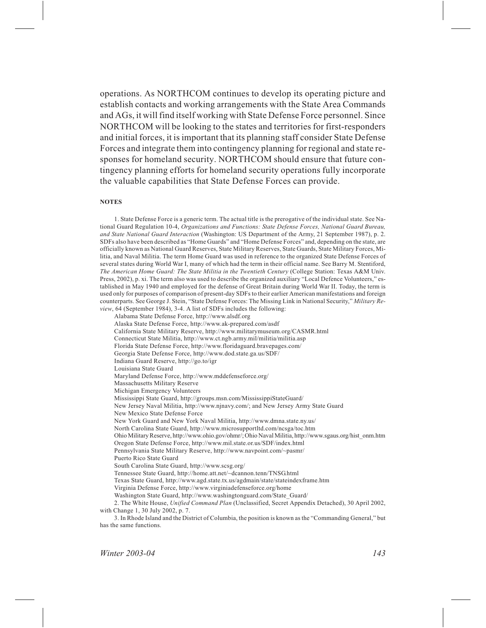operations. As NORTHCOM continues to develop its operating picture and establish contacts and working arrangements with the State Area Commands and AGs, it will find itself working with State Defense Force personnel. Since NORTHCOM will be looking to the states and territories for first-responders and initial forces, it is important that its planning staff consider State Defense Forces and integrate them into contingency planning for regional and state responses for homeland security. NORTHCOM should ensure that future contingency planning efforts for homeland security operations fully incorporate the valuable capabilities that State Defense Forces can provide.

#### **NOTES**

1. State Defense Force is a generic term. The actual title is the prerogative of the individual state. See National Guard Regulation 10-4, *Organizations and Functions: State Defense Forces, National Guard Bureau, and State National Guard Interaction* (Washington: US Department of the Army, 21 September 1987), p. 2. SDFs also have been described as "Home Guards" and "Home Defense Forces" and, depending on the state, are officially known as National Guard Reserves, State Military Reserves, State Guards, State Military Forces, Militia, and Naval Militia. The term Home Guard was used in reference to the organized State Defense Forces of several states during World War I, many of which had the term in their official name. See Barry M. Stentiford, *The American Home Guard: The State Militia in the Twentieth Century* (College Station: Texas A&M Univ. Press, 2002), p. xi. The term also was used to describe the organized auxiliary "Local Defence Volunteers," established in May 1940 and employed for the defense of Great Britain during World War II. Today, the term is used only for purposes of comparison of present-day SDFs to their earlier American manifestations and foreign counterparts. See George J. Stein, "State Defense Forces: The Missing Link in National Security," *Military Review*, 64 (September 1984), 3-4. A list of SDFs includes the following:

Alabama State Defense Force, http://www.alsdf.org Alaska State Defense Force, http://www.ak-prepared.com/asdf California State Military Reserve, http://www.militarymuseum.org/CASMR.html Connecticut State Militia, http://www.ct.ngb.army.mil/militia/militia.asp Florida State Defense Force, http://www.floridaguard.bravepages.com/ Georgia State Defense Force, http://www.dod.state.ga.us/SDF/ Indiana Guard Reserve, http://go.to/igr Louisiana State Guard Maryland Defense Force, http://www.mddefenseforce.org/ Massachusetts Military Reserve Michigan Emergency Volunteers Mississippi State Guard, http://groups.msn.com/MississippiStateGuard/ New Jersey Naval Militia, http://www.njnavy.com/; and New Jersey Army State Guard New Mexico State Defense Force New York Guard and New York Naval Militia, http://www.dmna.state.ny.us/ North Carolina State Guard, http://www.microsupportltd.com/ncsga/toc.htm Ohio Military Reserve, http://www.ohio.gov/ohmr/; Ohio Naval Militia, http://www.sgaus.org/hist\_onm.htm Oregon State Defense Force, http://www.mil.state.or.us/SDF/index.html Pennsylvania State Military Reserve, http://www.navpoint.com/~pasmr/ Puerto Rico State Guard South Carolina State Guard, http://www.scsg.org/ Tennessee State Guard, http://home.att.net/~dcannon.tenn/TNSG.html Texas State Guard, http://www.agd.state.tx.us/agdmain/state/stateindexframe.htm Virginia Defense Force, http://www.virginiadefenseforce.org/home Washington State Guard, http://www.washingtonguard.com/State\_Guard/ 2. The White House, *Unified Command Plan* (Unclassified, Secret Appendix Detached), 30 April 2002, with Change 1, 30 July 2002, p. 7.

3. In Rhode Island and the District of Columbia, the position is known as the "Commanding General," but has the same functions.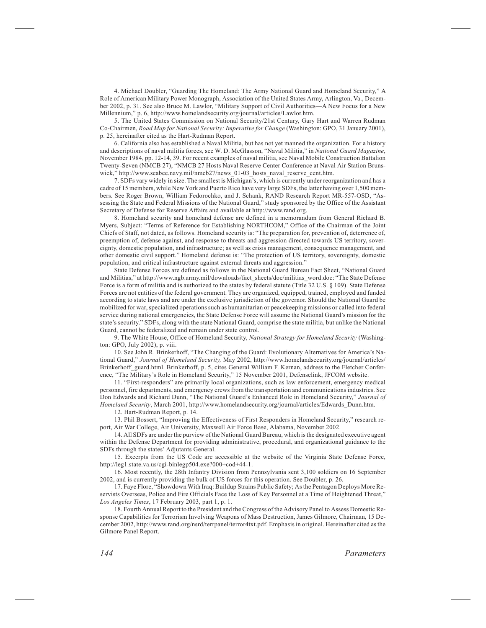4. Michael Doubler, "Guarding The Homeland: The Army National Guard and Homeland Security," A Role of American Military Power Monograph, Association of the United States Army, Arlington, Va., December 2002, p. 31. See also Bruce M. Lawlor, "Military Support of Civil Authorities—A New Focus for a New Millennium," p. 6, http://www.homelandsecurity.org/journal/articles/Lawlor.htm.

5. The United States Commission on National Security/21st Century, Gary Hart and Warren Rudman Co-Chairmen, *Road Map for National Security: Imperative for Change* (Washington: GPO, 31 January 2001), p. 25, hereinafter cited as the Hart-Rudman Report.

6. California also has established a Naval Militia, but has not yet manned the organization. For a history and descriptions of naval militia forces, see W. D. McGlasson, "Naval Militia," in *National Guard Magazine*, November 1984, pp. 12-14, 39. For recent examples of naval militia, see Naval Mobile Construction Battalion Twenty-Seven (NMCB 27), "NMCB 27 Hosts Naval Reserve Center Conference at Naval Air Station Brunswick," http://www.seabee.navy.mil/nmcb27/news\_01-03\_hosts\_naval\_reserve\_cent.htm.

7. SDFs vary widely in size. The smallest is Michigan's, which is currently under reorganization and has a cadre of 15 members, while New York and Puerto Rico have very large SDFs, the latter having over 1,500 members. See Roger Brown, William Fedorochko, and J. Schank, RAND Research Report MR-557-OSD, "Assessing the State and Federal Missions of the National Guard," study sponsored by the Office of the Assistant Secretary of Defense for Reserve Affairs and available at http://www.rand.org.

8. Homeland security and homeland defense are defined in a memorandum from General Richard B. Myers, Subject: "Terms of Reference for Establishing NORTHCOM," Office of the Chairman of the Joint Chiefs of Staff, not dated, as follows. Homeland security is: "The preparation for, prevention of, deterrence of, preemption of, defense against, and response to threats and aggression directed towards US territory, sovereignty, domestic population, and infrastructure; as well as crisis management, consequence management, and other domestic civil support." Homeland defense is: "The protection of US territory, sovereignty, domestic population, and critical infrastructure against external threats and aggression."

State Defense Forces are defined as follows in the National Guard Bureau Fact Sheet, "National Guard and Militias," at http://www.ngb.army.mil/downloads/fact\_sheets/doc/militias\_word.doc: "The State Defense Force is a form of militia and is authorized to the states by federal statute (Title 32 U.S. § 109). State Defense Forces are not entities of the federal government. They are organized, equipped, trained, employed and funded according to state laws and are under the exclusive jurisdiction of the governor. Should the National Guard be mobilized for war, specialized operations such as humanitarian or peacekeeping missions or called into federal service during national emergencies, the State Defense Force will assume the National Guard's mission for the state's security." SDFs, along with the state National Guard, comprise the state militia, but unlike the National Guard, cannot be federalized and remain under state control.

9. The White House, Office of Homeland Security, *National Strategy for Homeland Security* (Washington: GPO, July 2002), p. viii.

10. See John R. Brinkerhoff, "The Changing of the Guard: Evolutionary Alternatives for America's National Guard," *Journal of Homeland Security,* May 2002, http://www.homelandsecurity.org/journal/articles/ Brinkerhoff\_guard.html. Brinkerhoff, p. 5, cites General William F. Kernan, address to the Fletcher Conference, "The Military's Role in Homeland Security," 15 November 2001, Defenselink, JFCOM website.

11. "First-responders" are primarily local organizations, such as law enforcement, emergency medical personnel, fire departments, and emergency crews from the transportation and communications industries. See Don Edwards and Richard Dunn, "The National Guard's Enhanced Role in Homeland Security," *Journal of Homeland Security*, March 2001, http://www.homelandsecurity.org/journal/articles/Edwards\_Dunn.htm.

12. Hart-Rudman Report, p. 14.

13. Phil Bossert, "Improving the Effectiveness of First Responders in Homeland Security," research report, Air War College, Air University, Maxwell Air Force Base, Alabama, November 2002.

14. All SDFs are under the purview of the National Guard Bureau, which is the designated executive agent within the Defense Department for providing administrative, procedural, and organizational guidance to the SDFs through the states' Adjutants General.

15. Excerpts from the US Code are accessible at the website of the Virginia State Defense Force, http://leg1.state.va.us/cgi-binlegp504.exe?000+cod+44-1.

16. Most recently, the 28th Infantry Division from Pennsylvania sent 3,100 soldiers on 16 September 2002, and is currently providing the bulk of US forces for this operation. See Doubler, p. 26.

17. Faye Flore, "Showdown With Iraq: Buildup Strains Public Safety; As the Pentagon Deploys More Reservists Overseas, Police and Fire Officials Face the Loss of Key Personnel at a Time of Heightened Threat," *Los Angeles Times*, 17 February 2003, part 1, p. 1.

18. Fourth Annual Report to the President and the Congress of the Advisory Panel to Assess Domestic Response Capabilities for Terrorism Involving Weapons of Mass Destruction, James Gilmore, Chairman, 15 December 2002, http://www.rand.org/nsrd/terrpanel/terror4txt.pdf. Emphasis in original. Hereinafter cited as the Gilmore Panel Report.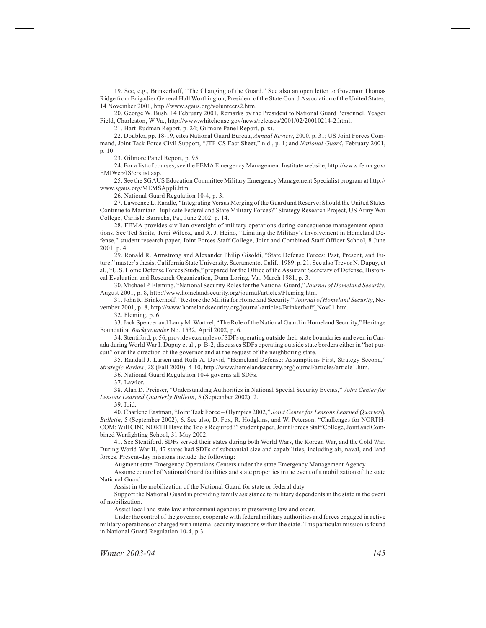19. See, e.g., Brinkerhoff, "The Changing of the Guard." See also an open letter to Governor Thomas Ridge from Brigadier General Hall Worthington, President of the State Guard Association of the United States, 14 November 2001, http://www.sgaus.org/volunteers2.htm.

20. George W. Bush, 14 February 2001, Remarks by the President to National Guard Personnel, Yeager Field, Charleston, W.Va., http://www.whitehouse.gov/news/releases/2001/02/20010214-2.html.

21. Hart-Rudman Report, p. 24; Gilmore Panel Report, p. xi.

22. Doubler, pp. 18-19, cites National Guard Bureau, *Annual Review*, 2000, p. 31; US Joint Forces Command, Joint Task Force Civil Support, "JTF-CS Fact Sheet," n.d., p. 1; and *National Guard*, February 2001, p. 10.

23. Gilmore Panel Report, p. 95.

24. For a list of courses, see the FEMA Emergency Management Institute website, http://www.fema.gov/ EMIWeb/IS/crslist.asp.

25. See the SGAUS Education Committee Military Emergency Management Specialist program at http:// www.sgaus.org/MEMSAppli.htm.

26. National Guard Regulation 10-4, p. 3.

27. Lawrence L. Randle, "Integrating Versus Merging of the Guard and Reserve: Should the United States Continue to Maintain Duplicate Federal and State Military Forces?" Strategy Research Project, US Army War College, Carlisle Barracks, Pa., June 2002, p. 14.

28. FEMA provides civilian oversight of military operations during consequence management operations. See Ted Smits, Terri Wilcox, and A. J. Heino, "Limiting the Military's Involvement in Homeland Defense," student research paper, Joint Forces Staff College, Joint and Combined Staff Officer School, 8 June 2001, p. 4.

29. Ronald R. Armstrong and Alexander Philip Gisoldi, "State Defense Forces: Past, Present, and Future," master's thesis, California State University, Sacramento, Calif., 1989, p. 21. See also Trevor N. Dupuy, et al., "U.S. Home Defense Forces Study," prepared for the Office of the Assistant Secretary of Defense, Historical Evaluation and Research Organization, Dunn Loring, Va., March 1981, p. 3.

30. Michael P. Fleming, "National Security Roles for the National Guard," *Journal of Homeland Security*, August 2001, p. 8, http://www.homelandsecurity.org/journal/articles/Fleming.htm.

31. John R. Brinkerhoff, "Restore the Militia for Homeland Security," *Journal of Homeland Security*, November 2001, p. 8, http://www.homelandsecurity.org/journal/articles/Brinkerhoff\_Nov01.htm.

32. Fleming, p. 6.

33. Jack Spencer and Larry M. Wortzel, "The Role of the National Guard in Homeland Security," Heritage Foundation *Backgrounder* No. 1532, April 2002, p. 6.

34. Stentiford, p. 56, provides examples of SDFs operating outside their state boundaries and even in Canada during World War I. Dupuy et al., p. B-2, discusses SDFs operating outside state borders either in "hot pursuit" or at the direction of the governor and at the request of the neighboring state.

35. Randall J. Larsen and Ruth A. David, "Homeland Defense: Assumptions First, Strategy Second," *Strategic Review*, 28 (Fall 2000), 4-10, http://www.homelandsecurity.org/journal/articles/article1.htm.

36. National Guard Regulation 10-4 governs all SDFs.

37. Lawlor.

38. Alan D. Preisser, "Understanding Authorities in National Special Security Events," *Joint Center for Lessons Learned Quarterly Bulletin*, 5 (September 2002), 2.

39. Ibid.

40. Charlene Eastman, "Joint Task Force – Olympics 2002," *Joint Center for Lessons Learned Quarterly Bulletin*, 5 (September 2002), 6. See also, D. Fox, R. Hodgkins, and W. Peterson, "Challenges for NORTH-COM: Will CINCNORTH Have the Tools Required?" student paper, Joint Forces Staff College, Joint and Combined Warfighting School, 31 May 2002.

41. See Stentiford. SDFs served their states during both World Wars, the Korean War, and the Cold War. During World War II, 47 states had SDFs of substantial size and capabilities, including air, naval, and land forces. Present-day missions include the following:

Augment state Emergency Operations Centers under the state Emergency Management Agency.

Assume control of National Guard facilities and state properties in the event of a mobilization of the state National Guard.

Assist in the mobilization of the National Guard for state or federal duty.

Support the National Guard in providing family assistance to military dependents in the state in the event of mobilization.

Assist local and state law enforcement agencies in preserving law and order.

Under the control of the governor, cooperate with federal military authorities and forces engaged in active military operations or charged with internal security missions within the state. This particular mission is found in National Guard Regulation 10-4, p.3.